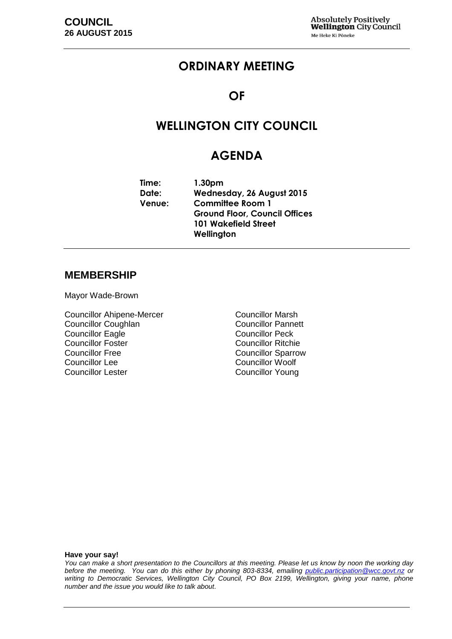## **ORDINARY MEETING**

### **OF**

# **WELLINGTON CITY COUNCIL**

## **AGENDA**

**Time: 1.30pm Date: Wednesday, 26 August 2015 Venue: Committee Room 1 Ground Floor, Council Offices 101 Wakefield Street Wellington**

#### **MEMBERSHIP**

Mayor Wade-Brown

Councillor Ahipene-Mercer Councillor Marsh Councillor Coughlan Councillor Pannett **Councillor Eagle** Councillor Peck Councillor Foster Councillor Ritchie<br>Councillor Free Councillor Sparrow Councillor Free Councillor Sparrow<br>
Councillor Lee Councillor Woolf Councillor Lee<br>
Councillor Lester<br>
Councillor Lester<br>
Councillor Younc

Councillor Young

#### **Have your say!**

*You can make a short presentation to the Councillors at this meeting. Please let us know by noon the working day before the meeting. You can do this either by phoning 803-8334, emailing public.participation@wcc.govt.nz or writing to Democratic Services, Wellington City Council, PO Box 2199, Wellington, giving your name, phone number and the issue you would like to talk about.*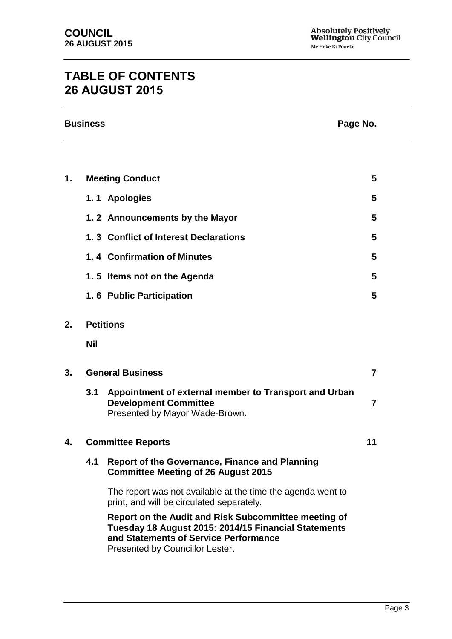# **TABLE OF CONTENTS 26 AUGUST 2015**

|    | <b>Business</b><br>Page No. |                                                                                                                                                                                          |                |
|----|-----------------------------|------------------------------------------------------------------------------------------------------------------------------------------------------------------------------------------|----------------|
|    |                             |                                                                                                                                                                                          |                |
| 1. |                             | <b>Meeting Conduct</b>                                                                                                                                                                   | 5              |
|    |                             | 1.1 Apologies                                                                                                                                                                            | 5              |
|    |                             | 1.2 Announcements by the Mayor                                                                                                                                                           | 5              |
|    |                             | 1.3 Conflict of Interest Declarations                                                                                                                                                    | 5              |
|    |                             | 1.4 Confirmation of Minutes                                                                                                                                                              | 5              |
|    |                             | 1.5 Items not on the Agenda                                                                                                                                                              | 5              |
|    |                             | 1.6 Public Participation                                                                                                                                                                 | 5              |
| 2. | <b>Petitions</b>            |                                                                                                                                                                                          |                |
|    | <b>Nil</b>                  |                                                                                                                                                                                          |                |
| 3. | <b>General Business</b>     |                                                                                                                                                                                          | $\overline{7}$ |
|    | 3.1                         | Appointment of external member to Transport and Urban<br><b>Development Committee</b><br>Presented by Mayor Wade-Brown.                                                                  | $\overline{7}$ |
| 4. | <b>Committee Reports</b>    |                                                                                                                                                                                          | 11             |
|    | 4.1                         | <b>Report of the Governance, Finance and Planning</b><br><b>Committee Meeting of 26 August 2015</b>                                                                                      |                |
|    |                             | The report was not available at the time the agenda went to<br>print, and will be circulated separately.                                                                                 |                |
|    |                             | Report on the Audit and Risk Subcommittee meeting of<br>Tuesday 18 August 2015: 2014/15 Financial Statements<br>and Statements of Service Performance<br>Presented by Councillor Lester. |                |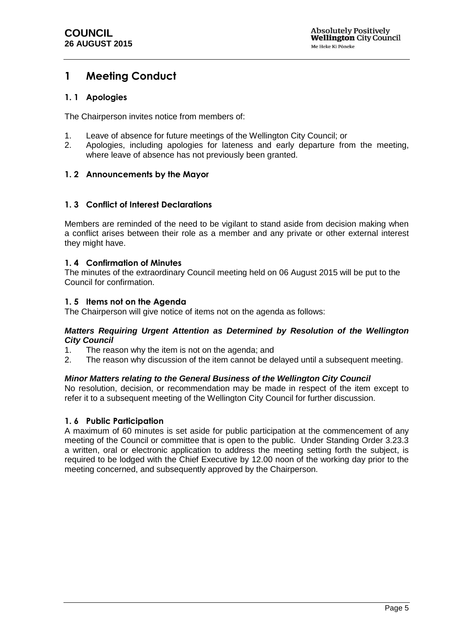## <span id="page-4-0"></span>**1 Meeting Conduct**

### <span id="page-4-1"></span>**1. 1 Apologies**

The Chairperson invites notice from members of:

- 1. Leave of absence for future meetings of the Wellington City Council; or
- 2. Apologies, including apologies for lateness and early departure from the meeting, where leave of absence has not previously been granted.

### <span id="page-4-2"></span>**1. 2 Announcements by the Mayor**

### <span id="page-4-3"></span>**1. 3 Conflict of Interest Declarations**

Members are reminded of the need to be vigilant to stand aside from decision making when a conflict arises between their role as a member and any private or other external interest they might have.

### <span id="page-4-4"></span>**1. 4 Confirmation of Minutes**

The minutes of the extraordinary Council meeting held on 06 August 2015 will be put to the Council for confirmation.

### <span id="page-4-5"></span>**1. 5 Items not on the Agenda**

The Chairperson will give notice of items not on the agenda as follows:

#### *Matters Requiring Urgent Attention as Determined by Resolution of the Wellington City Council*

- 1. The reason why the item is not on the agenda; and
- 2. The reason why discussion of the item cannot be delayed until a subsequent meeting.

#### *Minor Matters relating to the General Business of the Wellington City Council*

No resolution, decision, or recommendation may be made in respect of the item except to refer it to a subsequent meeting of the Wellington City Council for further discussion.

#### <span id="page-4-6"></span>**1. 6 Public Participation**

A maximum of 60 minutes is set aside for public participation at the commencement of any meeting of the Council or committee that is open to the public. Under Standing Order 3.23.3 a written, oral or electronic application to address the meeting setting forth the subject, is required to be lodged with the Chief Executive by 12.00 noon of the working day prior to the meeting concerned, and subsequently approved by the Chairperson.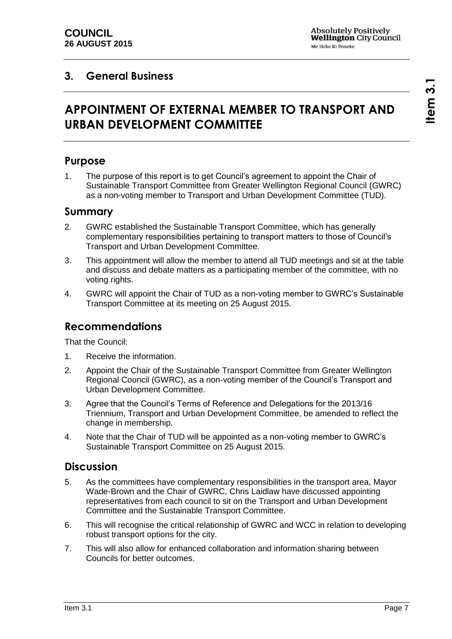## <span id="page-6-0"></span>**3. General Business**

# **APPOINTMENT OF EXTERNAL MEMBER TO TRANSPORT AND URBAN DEVELOPMENT COMMITTEE**

## **Purpose**

1. The purpose of this report is to get Council's agreement to appoint the Chair of Sustainable Transport Committee from Greater Wellington Regional Council (GWRC) as a non-voting member to Transport and Urban Development Committee (TUD).

### **Summary**

- 2. GWRC established the Sustainable Transport Committee, which has generally complementary responsibilities pertaining to transport matters to those of Council's Transport and Urban Development Committee.
- 3. This appointment will allow the member to attend all TUD meetings and sit at the table and discuss and debate matters as a participating member of the committee, with no voting rights.
- 4. GWRC will appoint the Chair of TUD as a non-voting member to GWRC's Sustainable Transport Committee at its meeting on 25 August 2015.

### **Recommendations**

That the Council:

- 1. Receive the information.
- 2. Appoint the Chair of the Sustainable Transport Committee from Greater Wellington Regional Council (GWRC), as a non-voting member of the Council's Transport and Urban Development Committee.
- 3. Agree that the Council's Terms of Reference and Delegations for the 2013/16 Triennium, Transport and Urban Development Committee, be amended to reflect the change in membership.
- 4. Note that the Chair of TUD will be appointed as a non-voting member to GWRC's Sustainable Transport Committee on 25 August 2015.

### **Discussion**

- 5. As the committees have complementary responsibilities in the transport area, Mayor Wade-Brown and the Chair of GWRC, Chris Laidlaw have discussed appointing representatives from each council to sit on the Transport and Urban Development Committee and the Sustainable Transport Committee.
- 6. This will recognise the critical relationship of GWRC and WCC in relation to developing robust transport options for the city.
- 7. This will also allow for enhanced collaboration and information sharing between Councils for better outcomes.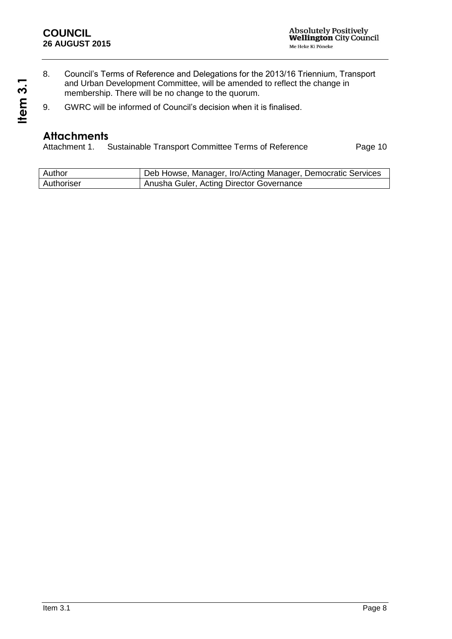- 8. Council's Terms of Reference and Delegations for the 2013/16 Triennium, Transport and Urban Development Committee, will be amended to reflect the change in membership. There will be no change to the quorum.
- 9. GWRC will be informed of Council's decision when it is finalised.

# **Attachments**<br>Attachment 1.

Sustainable Transport Committee Terms of Reference Page [10](#page-9-0)

| Author     | Deb Howse, Manager, Iro/Acting Manager, Democratic Services |
|------------|-------------------------------------------------------------|
| Authoriser | Anusha Guler, Acting Director Governance                    |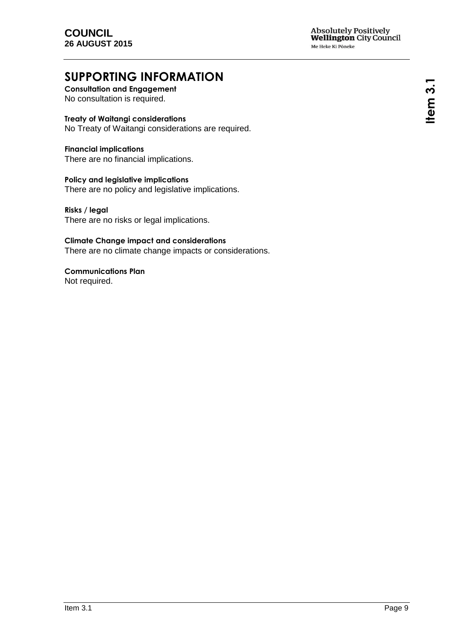# **SUPPORTING INFORMATION**

**Consultation and Engagement** No consultation is required.

### **Treaty of Waitangi considerations**

No Treaty of Waitangi considerations are required.

**Financial implications** There are no financial implications.

**Policy and legislative implications** There are no policy and legislative implications.

**Risks / legal**  There are no risks or legal implications.

**Climate Change impact and considerations** There are no climate change impacts or considerations.

**Communications Plan** Not required.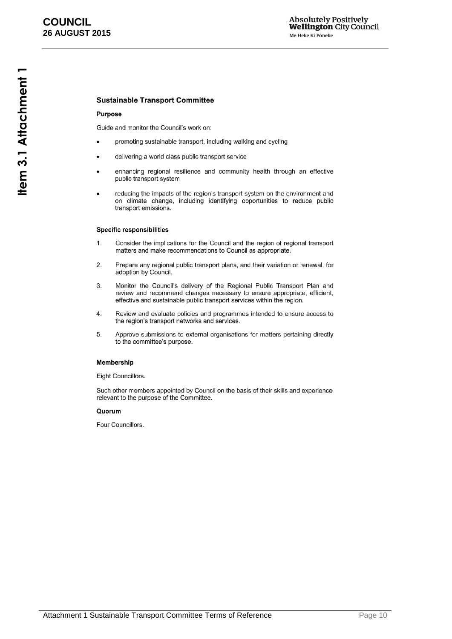#### <span id="page-9-0"></span>**Sustainable Transport Committee**

#### Purpose

Guide and monitor the Council's work on:

- promoting sustainable transport, including walking and cycling
- delivering a world class public transport service
- enhancing regional resilience and community health through an effective public transport system
- reducing the impacts of the region's transport system on the environment and on climate change, including identifying opportunities to reduce public transport emissions.

#### **Specific responsibilities**

- $1.$ Consider the implications for the Council and the region of regional transport matters and make recommendations to Council as appropriate.
- $2.$ Prepare any regional public transport plans, and their variation or renewal, for adoption by Council.
- 3. Monitor the Council's delivery of the Regional Public Transport Plan and review and recommend changes necessary to ensure appropriate, efficient, effective and sustainable public transport services within the region.
- $\overline{4}$ . Review and evaluate policies and programmes intended to ensure access to the region's transport networks and services.
- Approve submissions to external organisations for matters pertaining directly 5. to the committee's purpose.

#### Membership

Eight Councillors.

Such other members appointed by Council on the basis of their skills and experience relevant to the purpose of the Committee.

#### Quorum

Four Councillors.